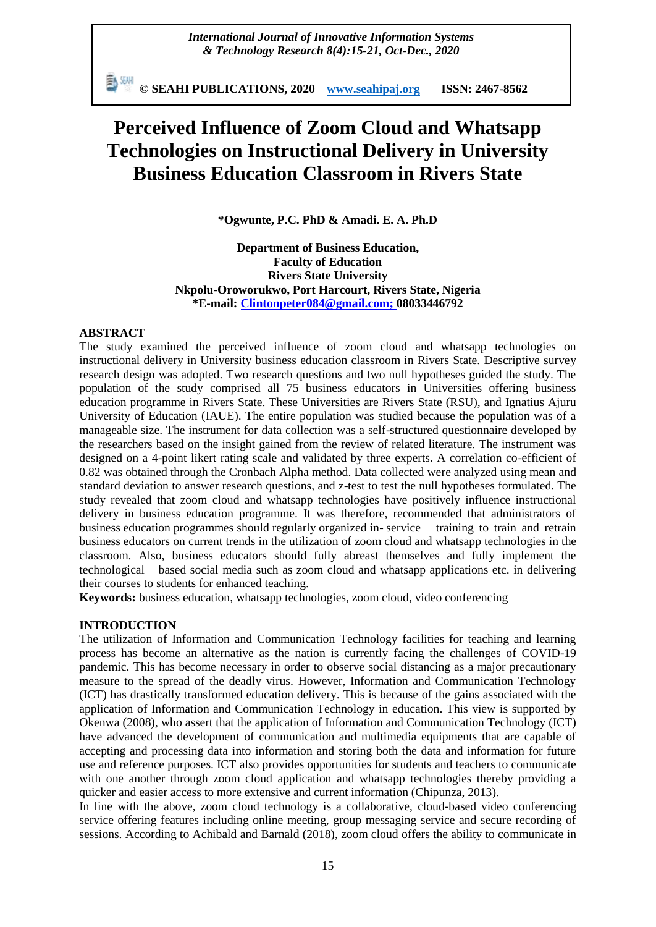新SH **© SEAHI PUBLICATIONS, 2020 [www.seahipaj.org](http://www.seahipaj.org/) ISSN: 2467-8562**

# **Perceived Influence of Zoom Cloud and Whatsapp Technologies on Instructional Delivery in University Business Education Classroom in Rivers State**

**\*Ogwunte, P.C. PhD & Amadi. E. A. Ph.D**

**Department of Business Education, Faculty of Education Rivers State University Nkpolu-Oroworukwo, Port Harcourt, Rivers State, Nigeria \*E-mail: [Clintonpeter084@gmail.com;](mailto:Clintonpeter084@gmail.com) 08033446792**

#### **ABSTRACT**

The study examined the perceived influence of zoom cloud and whatsapp technologies on instructional delivery in University business education classroom in Rivers State. Descriptive survey research design was adopted. Two research questions and two null hypotheses guided the study. The population of the study comprised all 75 business educators in Universities offering business education programme in Rivers State. These Universities are Rivers State (RSU), and Ignatius Ajuru University of Education (IAUE). The entire population was studied because the population was of a manageable size. The instrument for data collection was a self-structured questionnaire developed by the researchers based on the insight gained from the review of related literature. The instrument was designed on a 4-point likert rating scale and validated by three experts. A correlation co-efficient of 0.82 was obtained through the Cronbach Alpha method. Data collected were analyzed using mean and standard deviation to answer research questions, and z-test to test the null hypotheses formulated. The study revealed that zoom cloud and whatsapp technologies have positively influence instructional delivery in business education programme. It was therefore, recommended that administrators of business education programmes should regularly organized in- service training to train and retrain business educators on current trends in the utilization of zoom cloud and whatsapp technologies in the classroom. Also, business educators should fully abreast themselves and fully implement the technological based social media such as zoom cloud and whatsapp applications etc. in delivering their courses to students for enhanced teaching.

**Keywords:** business education, whatsapp technologies, zoom cloud, video conferencing

### **INTRODUCTION**

The utilization of Information and Communication Technology facilities for teaching and learning process has become an alternative as the nation is currently facing the challenges of COVID-19 pandemic. This has become necessary in order to observe social distancing as a major precautionary measure to the spread of the deadly virus. However, Information and Communication Technology (ICT) has drastically transformed education delivery. This is because of the gains associated with the application of Information and Communication Technology in education. This view is supported by Okenwa (2008), who assert that the application of Information and Communication Technology (ICT) have advanced the development of communication and multimedia equipments that are capable of accepting and processing data into information and storing both the data and information for future use and reference purposes. ICT also provides opportunities for students and teachers to communicate with one another through zoom cloud application and whatsapp technologies thereby providing a quicker and easier access to more extensive and current information (Chipunza, 2013).

In line with the above, zoom cloud technology is a collaborative, cloud-based video conferencing service offering features including online meeting, group messaging service and secure recording of sessions. According to Achibald and Barnald (2018), zoom cloud offers the ability to communicate in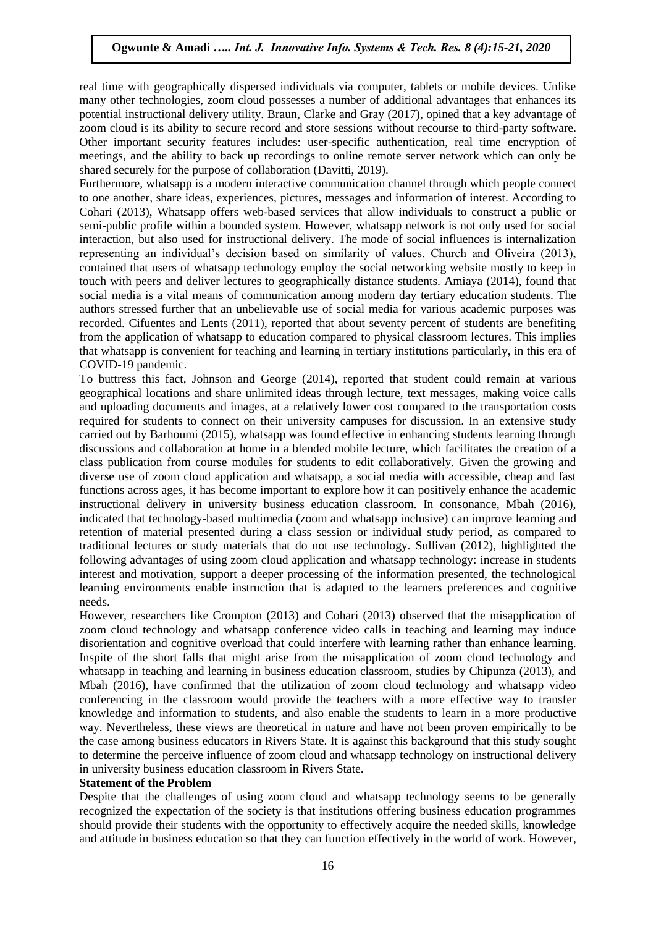real time with geographically dispersed individuals via computer, tablets or mobile devices. Unlike many other technologies, zoom cloud possesses a number of additional advantages that enhances its potential instructional delivery utility. Braun, Clarke and Gray (2017), opined that a key advantage of zoom cloud is its ability to secure record and store sessions without recourse to third-party software. Other important security features includes: user-specific authentication, real time encryption of meetings, and the ability to back up recordings to online remote server network which can only be shared securely for the purpose of collaboration (Davitti, 2019).

Furthermore, whatsapp is a modern interactive communication channel through which people connect to one another, share ideas, experiences, pictures, messages and information of interest. According to Cohari (2013), Whatsapp offers web-based services that allow individuals to construct a public or semi-public profile within a bounded system. However, whatsapp network is not only used for social interaction, but also used for instructional delivery. The mode of social influences is internalization representing an individual's decision based on similarity of values. Church and Oliveira (2013), contained that users of whatsapp technology employ the social networking website mostly to keep in touch with peers and deliver lectures to geographically distance students. Amiaya (2014), found that social media is a vital means of communication among modern day tertiary education students. The authors stressed further that an unbelievable use of social media for various academic purposes was recorded. Cifuentes and Lents (2011), reported that about seventy percent of students are benefiting from the application of whatsapp to education compared to physical classroom lectures. This implies that whatsapp is convenient for teaching and learning in tertiary institutions particularly, in this era of COVID-19 pandemic.

To buttress this fact, Johnson and George (2014), reported that student could remain at various geographical locations and share unlimited ideas through lecture, text messages, making voice calls and uploading documents and images, at a relatively lower cost compared to the transportation costs required for students to connect on their university campuses for discussion. In an extensive study carried out by Barhoumi (2015), whatsapp was found effective in enhancing students learning through discussions and collaboration at home in a blended mobile lecture, which facilitates the creation of a class publication from course modules for students to edit collaboratively. Given the growing and diverse use of zoom cloud application and whatsapp, a social media with accessible, cheap and fast functions across ages, it has become important to explore how it can positively enhance the academic instructional delivery in university business education classroom. In consonance, Mbah (2016), indicated that technology-based multimedia (zoom and whatsapp inclusive) can improve learning and retention of material presented during a class session or individual study period, as compared to traditional lectures or study materials that do not use technology. Sullivan (2012), highlighted the following advantages of using zoom cloud application and whatsapp technology: increase in students interest and motivation, support a deeper processing of the information presented, the technological learning environments enable instruction that is adapted to the learners preferences and cognitive needs.

However, researchers like Crompton (2013) and Cohari (2013) observed that the misapplication of zoom cloud technology and whatsapp conference video calls in teaching and learning may induce disorientation and cognitive overload that could interfere with learning rather than enhance learning. Inspite of the short falls that might arise from the misapplication of zoom cloud technology and whatsapp in teaching and learning in business education classroom, studies by Chipunza (2013), and Mbah (2016), have confirmed that the utilization of zoom cloud technology and whatsapp video conferencing in the classroom would provide the teachers with a more effective way to transfer knowledge and information to students, and also enable the students to learn in a more productive way. Nevertheless, these views are theoretical in nature and have not been proven empirically to be the case among business educators in Rivers State. It is against this background that this study sought to determine the perceive influence of zoom cloud and whatsapp technology on instructional delivery in university business education classroom in Rivers State.

### **Statement of the Problem**

Despite that the challenges of using zoom cloud and whatsapp technology seems to be generally recognized the expectation of the society is that institutions offering business education programmes should provide their students with the opportunity to effectively acquire the needed skills, knowledge and attitude in business education so that they can function effectively in the world of work. However,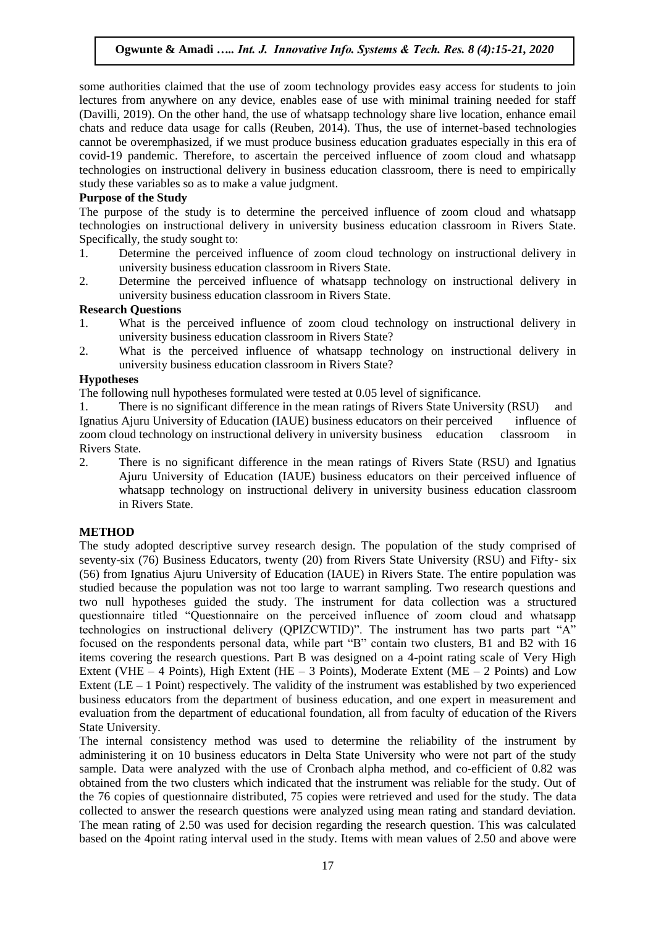some authorities claimed that the use of zoom technology provides easy access for students to join lectures from anywhere on any device, enables ease of use with minimal training needed for staff (Davilli, 2019). On the other hand, the use of whatsapp technology share live location, enhance email chats and reduce data usage for calls (Reuben, 2014). Thus, the use of internet-based technologies cannot be overemphasized, if we must produce business education graduates especially in this era of covid-19 pandemic. Therefore, to ascertain the perceived influence of zoom cloud and whatsapp technologies on instructional delivery in business education classroom, there is need to empirically study these variables so as to make a value judgment.

### **Purpose of the Study**

The purpose of the study is to determine the perceived influence of zoom cloud and whatsapp technologies on instructional delivery in university business education classroom in Rivers State. Specifically, the study sought to:

- 1. Determine the perceived influence of zoom cloud technology on instructional delivery in university business education classroom in Rivers State.
- 2. Determine the perceived influence of whatsapp technology on instructional delivery in university business education classroom in Rivers State.

# **Research Questions**

- 1. What is the perceived influence of zoom cloud technology on instructional delivery in university business education classroom in Rivers State?
- 2. What is the perceived influence of whatsapp technology on instructional delivery in university business education classroom in Rivers State?

#### **Hypotheses**

The following null hypotheses formulated were tested at 0.05 level of significance.

1. There is no significant difference in the mean ratings of Rivers State University (RSU) and Ignatius Ajuru University of Education (IAUE) business educators on their perceived influence of zoom cloud technology on instructional delivery in university business education classroom in Rivers State.

2. There is no significant difference in the mean ratings of Rivers State (RSU) and Ignatius Ajuru University of Education (IAUE) business educators on their perceived influence of whatsapp technology on instructional delivery in university business education classroom in Rivers State.

#### **METHOD**

The study adopted descriptive survey research design. The population of the study comprised of seventy-six (76) Business Educators, twenty (20) from Rivers State University (RSU) and Fifty- six (56) from Ignatius Ajuru University of Education (IAUE) in Rivers State. The entire population was studied because the population was not too large to warrant sampling. Two research questions and two null hypotheses guided the study. The instrument for data collection was a structured questionnaire titled "Questionnaire on the perceived influence of zoom cloud and whatsapp technologies on instructional delivery (QPIZCWTID)". The instrument has two parts part "A" focused on the respondents personal data, while part "B" contain two clusters, B1 and B2 with 16 items covering the research questions. Part B was designed on a 4-point rating scale of Very High Extent (VHE – 4 Points), High Extent (HE – 3 Points), Moderate Extent (ME – 2 Points) and Low Extent ( $LE - 1$  Point) respectively. The validity of the instrument was established by two experienced business educators from the department of business education, and one expert in measurement and evaluation from the department of educational foundation, all from faculty of education of the Rivers State University.

The internal consistency method was used to determine the reliability of the instrument by administering it on 10 business educators in Delta State University who were not part of the study sample. Data were analyzed with the use of Cronbach alpha method, and co-efficient of 0.82 was obtained from the two clusters which indicated that the instrument was reliable for the study. Out of the 76 copies of questionnaire distributed, 75 copies were retrieved and used for the study. The data collected to answer the research questions were analyzed using mean rating and standard deviation. The mean rating of 2.50 was used for decision regarding the research question. This was calculated based on the 4point rating interval used in the study. Items with mean values of 2.50 and above were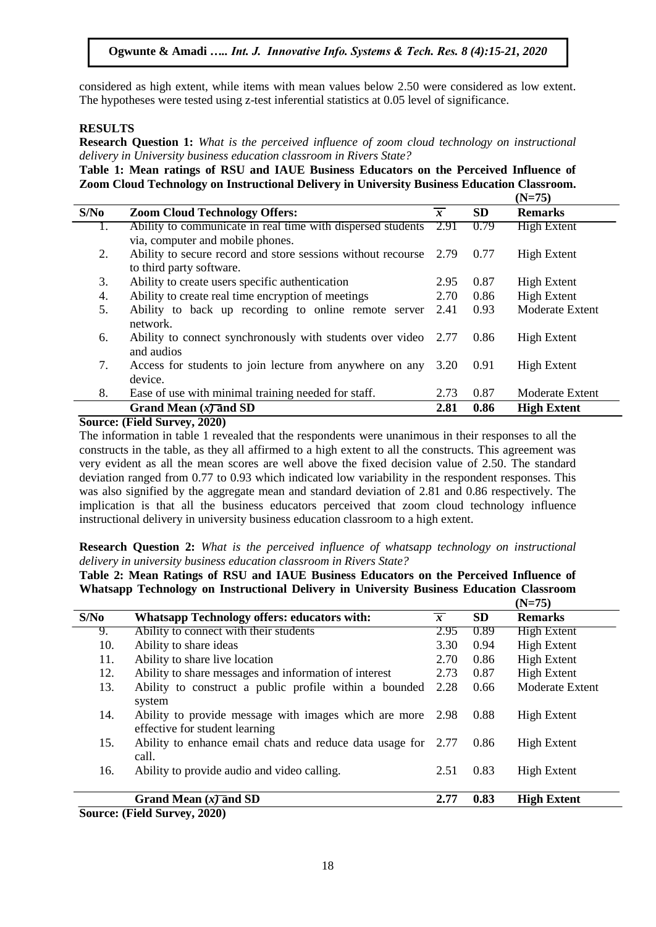# **Ogwunte & Amadi** *….. Int. J. Innovative Info. Systems & Tech. Res. 8 (4):15-21, 2020*

considered as high extent, while items with mean values below 2.50 were considered as low extent. The hypotheses were tested using z-test inferential statistics at 0.05 level of significance.

## **RESULTS**

**Research Question 1:** *What is the perceived influence of zoom cloud technology on instructional delivery in University business education classroom in Rivers State?*

**Table 1: Mean ratings of RSU and IAUE Business Educators on the Perceived Influence of Zoom Cloud Technology on Instructional Delivery in University Business Education Classroom.**

|      |                                                                                                 |                |           | $(N=75)$               |
|------|-------------------------------------------------------------------------------------------------|----------------|-----------|------------------------|
| S/No | <b>Zoom Cloud Technology Offers:</b>                                                            | $\overline{x}$ | <b>SD</b> | <b>Remarks</b>         |
|      | Ability to communicate in real time with dispersed students<br>via, computer and mobile phones. | 2.91           | 0.79      | <b>High Extent</b>     |
| 2.   | Ability to secure record and store sessions without recourse 2.79<br>to third party software.   |                | 0.77      | <b>High Extent</b>     |
| 3.   | Ability to create users specific authentication                                                 | 2.95           | 0.87      | <b>High Extent</b>     |
| 4.   | Ability to create real time encryption of meetings                                              | 2.70           | 0.86      | <b>High Extent</b>     |
| 5.   | Ability to back up recording to online remote server<br>network.                                | 2.41           | 0.93      | <b>Moderate Extent</b> |
| 6.   | Ability to connect synchronously with students over video 2.77<br>and audios                    |                | 0.86      | <b>High Extent</b>     |
| 7.   | Access for students to join lecture from anywhere on any<br>device.                             | 3.20           | 0.91      | <b>High Extent</b>     |
| 8.   | Ease of use with minimal training needed for staff.                                             | 2.73           | 0.87      | <b>Moderate Extent</b> |
|      | Grand Mean $(x)$ and SD                                                                         | 2.81           | 0.86      | <b>High Extent</b>     |

#### **Source: (Field Survey, 2020)**

The information in table 1 revealed that the respondents were unanimous in their responses to all the constructs in the table, as they all affirmed to a high extent to all the constructs. This agreement was very evident as all the mean scores are well above the fixed decision value of 2.50. The standard deviation ranged from 0.77 to 0.93 which indicated low variability in the respondent responses. This was also signified by the aggregate mean and standard deviation of 2.81 and 0.86 respectively. The implication is that all the business educators perceived that zoom cloud technology influence instructional delivery in university business education classroom to a high extent.

**Research Question 2:** *What is the perceived influence of whatsapp technology on instructional delivery in university business education classroom in Rivers State?*

| Table 2: Mean Ratings of RSU and IAUE Business Educators on the Perceived Influence of   |  |
|------------------------------------------------------------------------------------------|--|
| Whatsapp Technology on Instructional Delivery in University Business Education Classroom |  |
|                                                                                          |  |

|      |                                                                                              |                |           | $(19=75)$              |
|------|----------------------------------------------------------------------------------------------|----------------|-----------|------------------------|
| S/No | <b>Whatsapp Technology offers: educators with:</b>                                           | $\overline{x}$ | <b>SD</b> | <b>Remarks</b>         |
| 9.   | Ability to connect with their students                                                       | 2.95           | 0.89      | <b>High Extent</b>     |
| 10.  | Ability to share ideas                                                                       | 3.30           | 0.94      | <b>High Extent</b>     |
| 11.  | Ability to share live location                                                               | 2.70           | 0.86      | <b>High Extent</b>     |
| 12.  | Ability to share messages and information of interest                                        | 2.73           | 0.87      | <b>High Extent</b>     |
| 13.  | Ability to construct a public profile within a bounded<br>system                             | 2.28           | 0.66      | <b>Moderate Extent</b> |
| 14.  | Ability to provide message with images which are more 2.98<br>effective for student learning |                | 0.88      | <b>High Extent</b>     |
| 15.  | Ability to enhance email chats and reduce data usage for 2.77<br>call.                       |                | 0.86      | <b>High Extent</b>     |
| 16.  | Ability to provide audio and video calling.                                                  | 2.51           | 0.83      | <b>High Extent</b>     |
|      | Grand Mean $(x)$ and SD                                                                      | 2.77           | 0.83      | <b>High Extent</b>     |
|      | $C_{\text{out}}$ (Eal) $C_{\text{in}}$ (1000)                                                |                |           |                        |

**Source: (Field Survey, 2020)**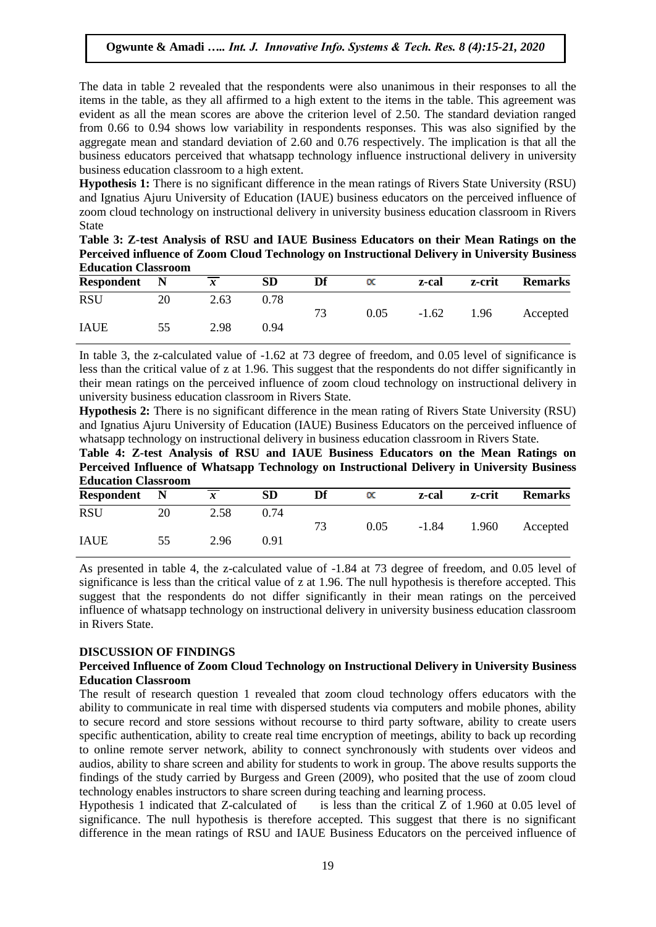The data in table 2 revealed that the respondents were also unanimous in their responses to all the items in the table, as they all affirmed to a high extent to the items in the table. This agreement was evident as all the mean scores are above the criterion level of 2.50. The standard deviation ranged from 0.66 to 0.94 shows low variability in respondents responses. This was also signified by the aggregate mean and standard deviation of 2.60 and 0.76 respectively. The implication is that all the business educators perceived that whatsapp technology influence instructional delivery in university business education classroom to a high extent.

**Hypothesis 1:** There is no significant difference in the mean ratings of Rivers State University (RSU) and Ignatius Ajuru University of Education (IAUE) business educators on the perceived influence of zoom cloud technology on instructional delivery in university business education classroom in Rivers State

| Table 3: Z-test Analysis of RSU and IAUE Business Educators on their Mean Ratings on the      |
|-----------------------------------------------------------------------------------------------|
| Perceived influence of Zoom Cloud Technology on Instructional Delivery in University Business |
| <b>Education Classroom</b>                                                                    |

| Respondent  | $\blacksquare$ | $\boldsymbol{x}$ | <b>SD</b> | Df | $_{\alpha}$ | z-cal   | z-crit | <b>Remarks</b> |
|-------------|----------------|------------------|-----------|----|-------------|---------|--------|----------------|
| <b>RSU</b>  | 20             | 2.63             | 0.78      |    |             |         |        |                |
|             |                |                  |           | 73 | 0.05        | $-1.62$ | 1.96   | Accepted       |
| <b>IAUE</b> | 55             | 2.98             | 0.94      |    |             |         |        |                |

In table 3, the z-calculated value of -1.62 at 73 degree of freedom, and 0.05 level of significance is less than the critical value of z at 1.96. This suggest that the respondents do not differ significantly in their mean ratings on the perceived influence of zoom cloud technology on instructional delivery in university business education classroom in Rivers State.

**Hypothesis 2:** There is no significant difference in the mean rating of Rivers State University (RSU) and Ignatius Ajuru University of Education (IAUE) Business Educators on the perceived influence of whatsapp technology on instructional delivery in business education classroom in Rivers State.

**Table 4: Z-test Analysis of RSU and IAUE Business Educators on the Mean Ratings on Perceived Influence of Whatsapp Technology on Instructional Delivery in University Business Education Classroom**

| <b>Respondent</b> | $\blacksquare$ | $\boldsymbol{x}$ | <b>SD</b> | Df | $\propto$ | z-cal   | z-crit | <b>Remarks</b> |
|-------------------|----------------|------------------|-----------|----|-----------|---------|--------|----------------|
| <b>RSU</b>        | 20             | 2.58             | 0.74      |    |           |         |        |                |
|                   |                |                  |           | 73 | 0.05      | $-1.84$ | 1.960  | Accepted       |
| <b>IAUE</b>       | 55             | 2.96             | 0.91      |    |           |         |        |                |

As presented in table 4, the z-calculated value of -1.84 at 73 degree of freedom, and 0.05 level of significance is less than the critical value of z at 1.96. The null hypothesis is therefore accepted. This suggest that the respondents do not differ significantly in their mean ratings on the perceived influence of whatsapp technology on instructional delivery in university business education classroom in Rivers State.

### **DISCUSSION OF FINDINGS**

### **Perceived Influence of Zoom Cloud Technology on Instructional Delivery in University Business Education Classroom**

The result of research question 1 revealed that zoom cloud technology offers educators with the ability to communicate in real time with dispersed students via computers and mobile phones, ability to secure record and store sessions without recourse to third party software, ability to create users specific authentication, ability to create real time encryption of meetings, ability to back up recording to online remote server network, ability to connect synchronously with students over videos and audios, ability to share screen and ability for students to work in group. The above results supports the findings of the study carried by Burgess and Green (2009), who posited that the use of zoom cloud technology enables instructors to share screen during teaching and learning process.

Hypothesis 1 indicated that Z-calculated of is less than the critical Z of 1.960 at 0.05 level of significance. The null hypothesis is therefore accepted. This suggest that there is no significant difference in the mean ratings of RSU and IAUE Business Educators on the perceived influence of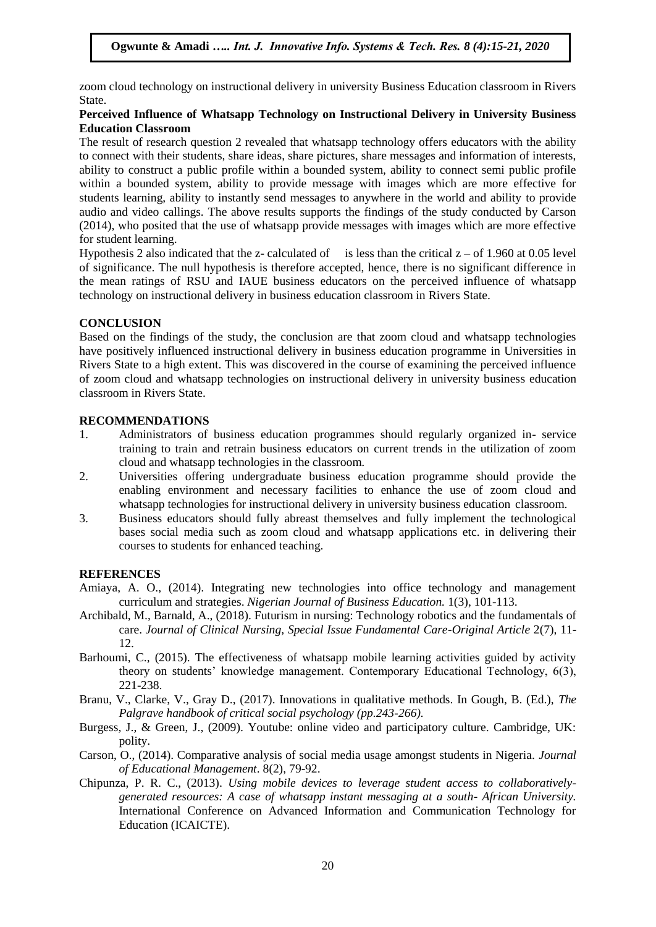zoom cloud technology on instructional delivery in university Business Education classroom in Rivers State.

## **Perceived Influence of Whatsapp Technology on Instructional Delivery in University Business Education Classroom**

The result of research question 2 revealed that whatsapp technology offers educators with the ability to connect with their students, share ideas, share pictures, share messages and information of interests, ability to construct a public profile within a bounded system, ability to connect semi public profile within a bounded system, ability to provide message with images which are more effective for students learning, ability to instantly send messages to anywhere in the world and ability to provide audio and video callings. The above results supports the findings of the study conducted by Carson (2014), who posited that the use of whatsapp provide messages with images which are more effective for student learning.

Hypothesis 2 also indicated that the z- calculated of is less than the critical  $z - of 1.960$  at 0.05 level of significance. The null hypothesis is therefore accepted, hence, there is no significant difference in the mean ratings of RSU and IAUE business educators on the perceived influence of whatsapp technology on instructional delivery in business education classroom in Rivers State.

### **CONCLUSION**

Based on the findings of the study, the conclusion are that zoom cloud and whatsapp technologies have positively influenced instructional delivery in business education programme in Universities in Rivers State to a high extent. This was discovered in the course of examining the perceived influence of zoom cloud and whatsapp technologies on instructional delivery in university business education classroom in Rivers State.

#### **RECOMMENDATIONS**

- 1. Administrators of business education programmes should regularly organized in- service training to train and retrain business educators on current trends in the utilization of zoom cloud and whatsapp technologies in the classroom.
- 2. Universities offering undergraduate business education programme should provide the enabling environment and necessary facilities to enhance the use of zoom cloud and whatsapp technologies for instructional delivery in university business education classroom.
- 3. Business educators should fully abreast themselves and fully implement the technological bases social media such as zoom cloud and whatsapp applications etc. in delivering their courses to students for enhanced teaching.

### **REFERENCES**

- Amiaya, A. O., (2014). Integrating new technologies into office technology and management curriculum and strategies. *Nigerian Journal of Business Education.* 1(3), 101-113.
- Archibald, M., Barnald, A., (2018). Futurism in nursing: Technology robotics and the fundamentals of care. *Journal of Clinical Nursing, Special Issue Fundamental Care-Original Article* 2(7), 11- 12.
- Barhoumi, C., (2015). The effectiveness of whatsapp mobile learning activities guided by activity theory on students' knowledge management. Contemporary Educational Technology, 6(3), 221-238.
- Branu, V., Clarke, V., Gray D., (2017). Innovations in qualitative methods. In Gough, B. (Ed.), *The Palgrave handbook of critical social psychology (pp.243-266).*
- Burgess, J., & Green, J., (2009). Youtube: online video and participatory culture. Cambridge, UK: polity.
- Carson, O., (2014). Comparative analysis of social media usage amongst students in Nigeria. *Journal of Educational Management*. 8(2), 79-92.
- Chipunza, P. R. C., (2013). *Using mobile devices to leverage student access to collaborativelygenerated resources: A case of whatsapp instant messaging at a south- African University.* International Conference on Advanced Information and Communication Technology for Education (ICAICTE).